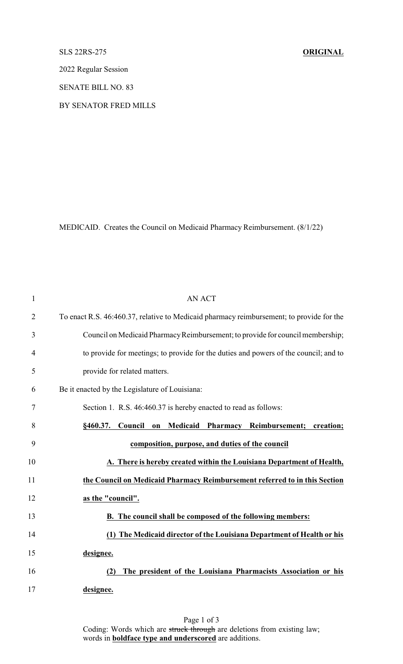## SLS 22RS-275 **ORIGINAL**

2022 Regular Session

SENATE BILL NO. 83

BY SENATOR FRED MILLS

MEDICAID. Creates the Council on Medicaid Pharmacy Reimbursement. (8/1/22)

| $\mathbf{1}$   | <b>AN ACT</b>                                                                               |
|----------------|---------------------------------------------------------------------------------------------|
| $\overline{2}$ | To enact R.S. 46:460.37, relative to Medicaid pharmacy reimbursement; to provide for the    |
| 3              | Council on Medicaid Pharmacy Reimbursement; to provide for council membership;              |
| 4              | to provide for meetings; to provide for the duties and powers of the council; and to        |
| 5              | provide for related matters.                                                                |
| 6              | Be it enacted by the Legislature of Louisiana:                                              |
| 7              | Section 1. R.S. 46:460.37 is hereby enacted to read as follows:                             |
| 8              | Medicaid<br>Council<br>Pharmacy<br>Reimbursement;<br>§460.37.<br>creation;<br>$\mathbf{on}$ |
| 9              | composition, purpose, and duties of the council                                             |
| 10             | A. There is hereby created within the Louisiana Department of Health,                       |
| 11             | the Council on Medicaid Pharmacy Reimbursement referred to in this Section                  |
| 12             | as the "council".                                                                           |
| 13             | <b>B.</b> The council shall be composed of the following members:                           |
| 14             | (1) The Medicaid director of the Louisiana Department of Health or his                      |
| 15             | designee.                                                                                   |
| 16             | The president of the Louisiana Pharmacists Association or his<br>(2)                        |
| 17             | designee.                                                                                   |

Page 1 of 3 Coding: Words which are struck through are deletions from existing law; words in **boldface type and underscored** are additions.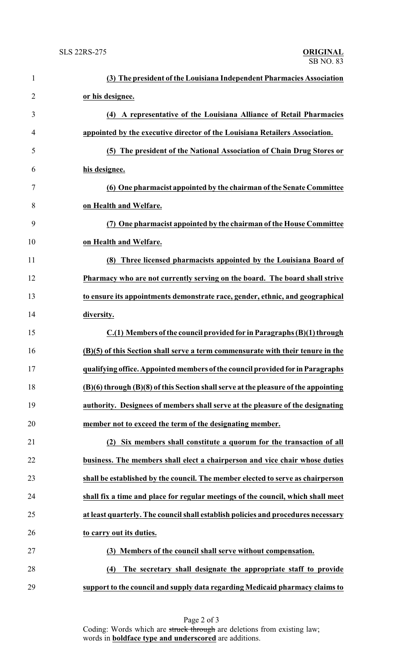| 1              | (3) The president of the Louisiana Independent Pharmacies Association               |
|----------------|-------------------------------------------------------------------------------------|
| $\overline{2}$ | or his designee.                                                                    |
| 3              | (4) A representative of the Louisiana Alliance of Retail Pharmacies                 |
| 4              | appointed by the executive director of the Louisiana Retailers Association.         |
| 5              | (5) The president of the National Association of Chain Drug Stores or               |
| 6              | his designee.                                                                       |
| 7              | (6) One pharmacist appointed by the chairman of the Senate Committee                |
| 8              | on Health and Welfare.                                                              |
| 9              | (7) One pharmacist appointed by the chairman of the House Committee                 |
| 10             | on Health and Welfare.                                                              |
| 11             | Three licensed pharmacists appointed by the Louisiana Board of<br>(8)               |
| 12             | Pharmacy who are not currently serving on the board. The board shall strive         |
| 13             | to ensure its appointments demonstrate race, gender, ethnic, and geographical       |
| 14             | diversity.                                                                          |
| 15             | C.(1) Members of the council provided for in Paragraphs (B)(1) through              |
| 16             | (B)(5) of this Section shall serve a term commensurate with their tenure in the     |
| 17             | qualifying office. Appointed members of the council provided for in Paragraphs      |
| 18             | (B)(6) through (B)(8) of this Section shall serve at the pleasure of the appointing |
| 19             | authority. Designees of members shall serve at the pleasure of the designating      |
| 20             | member not to exceed the term of the designating member.                            |
| 21             | (2) Six members shall constitute a quorum for the transaction of all                |
| 22             | business. The members shall elect a chairperson and vice chair whose duties         |
| 23             | shall be established by the council. The member elected to serve as chairperson     |
| 24             | shall fix a time and place for regular meetings of the council, which shall meet    |
| 25             | at least quarterly. The council shall establish policies and procedures necessary   |
| 26             | to carry out its duties.                                                            |
| 27             | (3) Members of the council shall serve without compensation.                        |
| 28             | The secretary shall designate the appropriate staff to provide<br>(4)               |
| 29             | support to the council and supply data regarding Medicaid pharmacy claims to        |